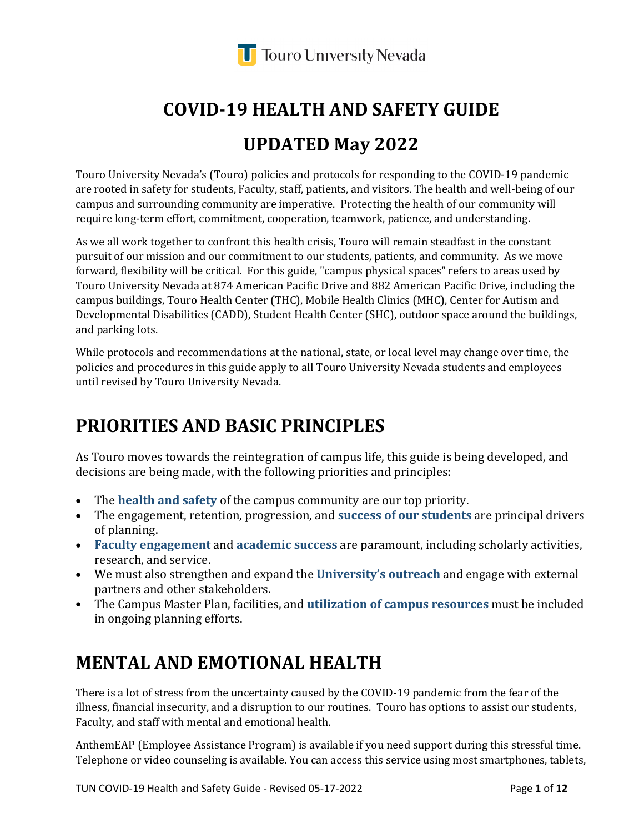

# **COVID-19 HEALTH AND SAFETY GUIDE**

### **UPDATED May 2022**

Touro University Nevada's (Touro) policies and protocols for responding to the COVID-19 pandemic are rooted in safety for students, Faculty, staff, patients, and visitors. The health and well-being of our campus and surrounding community are imperative. Protecting the health of our community will require long-term effort, commitment, cooperation, teamwork, patience, and understanding.

As we all work together to confront this health crisis, Touro will remain steadfast in the constant pursuit of our mission and our commitment to our students, patients, and community. As we move forward, flexibility will be critical. For this guide, "campus physical spaces" refers to areas used by Touro University Nevada at 874 American Pacific Drive and 882 American Pacific Drive, including the campus buildings, Touro Health Center (THC), Mobile Health Clinics (MHC), Center for Autism and Developmental Disabilities (CADD), Student Health Center (SHC), outdoor space around the buildings, and parking lots.

While protocols and recommendations at the national, state, or local level may change over time, the policies and procedures in this guide apply to all Touro University Nevada students and employees until revised by Touro University Nevada.

### **PRIORITIES AND BASIC PRINCIPLES**

As Touro moves towards the reintegration of campus life, this guide is being developed, and decisions are being made, with the following priorities and principles:

- The **health and safety** of the campus community are our top priority.
- The engagement, retention, progression, and **success of our students** are principal drivers of planning.
- **Faculty engagement** and **academic success** are paramount, including scholarly activities, research, and service.
- We must also strengthen and expand the **University's outreach** and engage with external partners and other stakeholders.
- The Campus Master Plan, facilities, and **utilization of campus resources** must be included in ongoing planning efforts.

### **MENTAL AND EMOTIONAL HEALTH**

There is a lot of stress from the uncertainty caused by the COVID-19 pandemic from the fear of the illness, financial insecurity, and a disruption to our routines. Touro has options to assist our students, Faculty, and staff with mental and emotional health.

AnthemEAP (Employee Assistance Program) is available if you need support during this stressful time. Telephone or video counseling is available. You can access this service using most smartphones, tablets,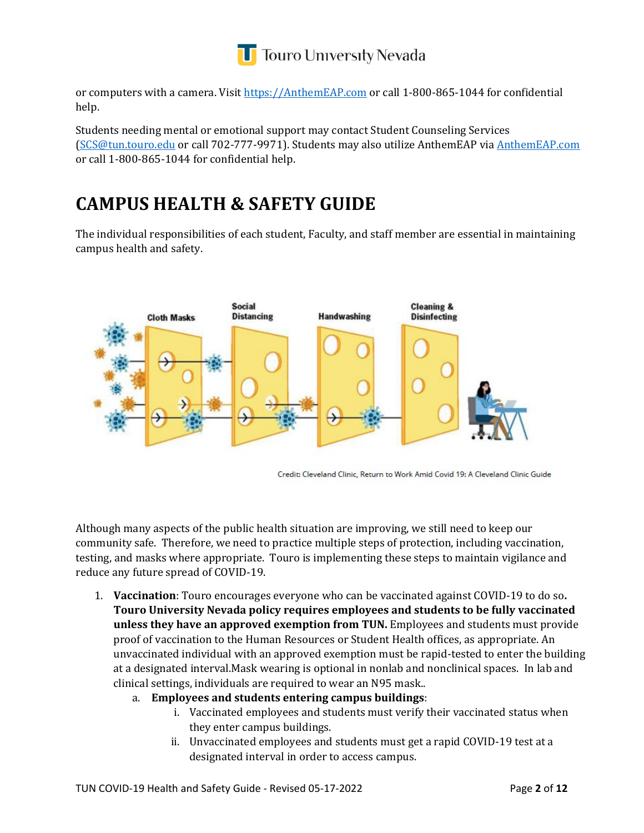

or computers with a camera. Visit [https://AnthemEAP.com](https://anthemeap.com/) or call 1-800-865-1044 for confidential help.

Students needing mental or emotional support may contact Student Counseling Services [\(SCS@tun.touro.edu](mailto:SCS@tun.touro.edu) or call 702-777-9971). Students may also utilize AnthemEAP via [AnthemEAP.com](https://anthemeap.com/) or call 1-800-865-1044 for confidential help.

### **CAMPUS HEALTH & SAFETY GUIDE**

The individual responsibilities of each student, Faculty, and staff member are essential in maintaining campus health and safety.



Credit: Cleveland Clinic, Return to Work Amid Covid 19: A Cleveland Clinic Guide

Although many aspects of the public health situation are improving, we still need to keep our community safe. Therefore, we need to practice multiple steps of protection, including vaccination, testing, and masks where appropriate. Touro is implementing these steps to maintain vigilance and reduce any future spread of COVID-19.

- 1. **Vaccination**: Touro encourages everyone who can be vaccinated against COVID-19 to do so**. Touro University Nevada policy requires employees and students to be fully vaccinated unless they have an approved exemption from TUN.** Employees and students must provide proof of vaccination to the Human Resources or Student Health offices, as appropriate. An unvaccinated individual with an approved exemption must be rapid-tested to enter the building at a designated interval.Mask wearing is optional in nonlab and nonclinical spaces. In lab and clinical settings, individuals are required to wear an N95 mask..
	- a. **Employees and students entering campus buildings**:
		- i. Vaccinated employees and students must verify their vaccinated status when they enter campus buildings.
		- ii. Unvaccinated employees and students must get a rapid COVID-19 test at a designated interval in order to access campus.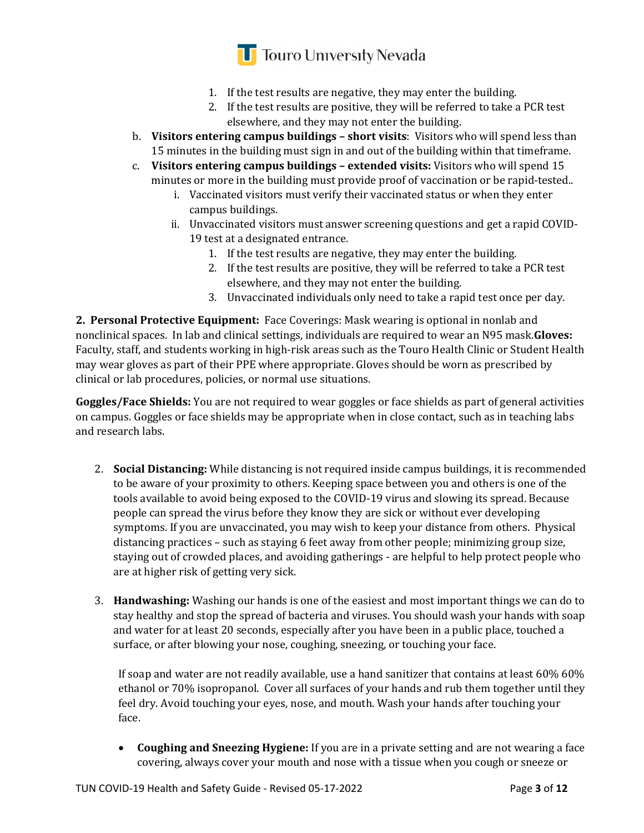### **T** Touro University Nevada

- 1. If the test results are negative, they may enter the building.
- 2. If the test results are positive, they will be referred to take a PCR test elsewhere, and they may not enter the building.
- b. **Visitors entering campus buildings short visits**: Visitors who will spend less than 15 minutes in the building must sign in and out of the building within that timeframe.
- c. **Visitors entering campus buildings extended visits:** Visitors who will spend 15 minutes or more in the building must provide proof of vaccination or be rapid-tested..
	- i. Vaccinated visitors must verify their vaccinated status or when they enter campus buildings.
	- ii. Unvaccinated visitors must answer screening questions and get a rapid COVID-19 test at a designated entrance.
		- 1. If the test results are negative, they may enter the building.
		- 2. If the test results are positive, they will be referred to take a PCR test elsewhere, and they may not enter the building.
		- 3. Unvaccinated individuals only need to take a rapid test once per day.

**2. Personal Protective Equipment:** Face Coverings: Mask wearing is optional in nonlab and nonclinical spaces. In lab and clinical settings, individuals are required to wear an N95 mask.**Gloves:** Faculty, staff, and students working in high-risk areas such as the Touro Health Clinic or Student Health may wear gloves as part of their PPE where appropriate. Gloves should be worn as prescribed by clinical or lab procedures, policies, or normal use situations.

**Goggles/Face Shields:** You are not required to wear goggles or face shields as part of general activities on campus. Goggles or face shields may be appropriate when in close contact, such as in teaching labs and research labs.

- 2. **Social Distancing:** While distancing is not required inside campus buildings, it is recommended to be aware of your proximity to others. Keeping space between you and others is one of the tools available to avoid being exposed to the COVID-19 virus and slowing its spread. Because people can spread the virus before they know they are sick or without ever developing symptoms. If you are unvaccinated, you may wish to keep your distance from others. Physical distancing practices – such as staying 6 feet away from other people; minimizing group size, staying out of crowded places, and avoiding gatherings - are helpful to help protect people who are at higher risk of getting very sick.
- 3. **Handwashing:** Washing our hands is one of the easiest and most important things we can do to stay healthy and stop the spread of bacteria and viruses. You should wash your hands with soap and water for at least 20 seconds, especially after you have been in a public place, touched a surface, or after blowing your nose, coughing, sneezing, or touching your face.

If soap and water are not readily available, use a hand sanitizer that contains at least 60% 60% ethanol or 70% isopropanol. Cover all surfaces of your hands and rub them together until they feel dry. Avoid touching your eyes, nose, and mouth. Wash your hands after touching your face.

• **Coughing and Sneezing Hygiene:** If you are in a private setting and are not wearing a face covering, always cover your mouth and nose with a tissue when you cough or sneeze or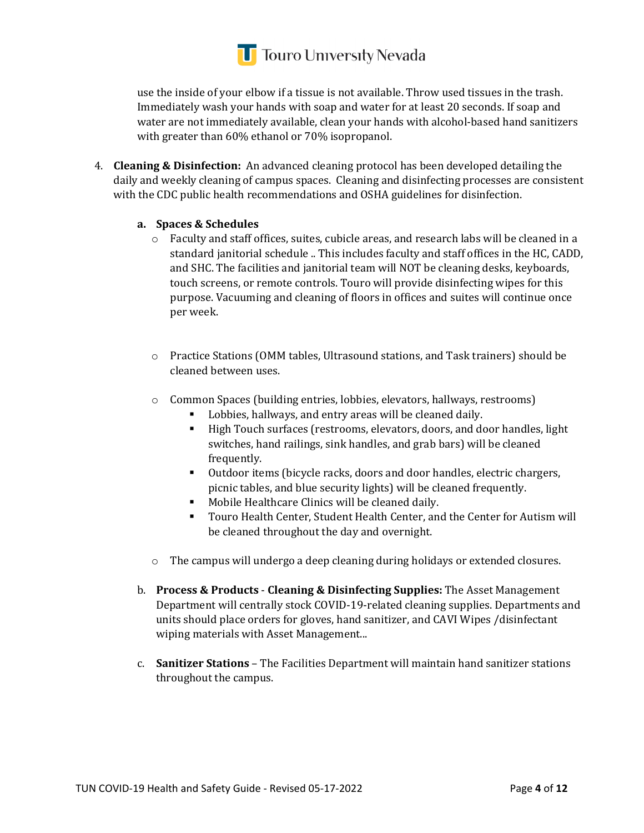## **T** Touro University Nevada

use the inside of your elbow if a tissue is not available. Throw used tissues in the trash. Immediately wash your hands with soap and water for at least 20 seconds. If soap and water are not immediately available, clean your hands with alcohol-based hand sanitizers with greater than 60% ethanol or 70% isopropanol.

4. **Cleaning & Disinfection:** An advanced cleaning protocol has been developed detailing the daily and weekly cleaning of campus spaces. Cleaning and disinfecting processes are consistent with the CDC public health recommendations and OSHA guidelines for disinfection.

#### **a. Spaces & Schedules**

- o Faculty and staff offices, suites, cubicle areas, and research labs will be cleaned in a standard janitorial schedule .. This includes faculty and staff offices in the HC, CADD, and SHC. The facilities and janitorial team will NOT be cleaning desks, keyboards, touch screens, or remote controls. Touro will provide disinfecting wipes for this purpose. Vacuuming and cleaning of floors in offices and suites will continue once per week.
- o Practice Stations (OMM tables, Ultrasound stations, and Task trainers) should be cleaned between uses.
- o Common Spaces (building entries, lobbies, elevators, hallways, restrooms)
	- Lobbies, hallways, and entry areas will be cleaned daily.
	- High Touch surfaces (restrooms, elevators, doors, and door handles, light switches, hand railings, sink handles, and grab bars) will be cleaned frequently.
	- Outdoor items (bicycle racks, doors and door handles, electric chargers, picnic tables, and blue security lights) will be cleaned frequently.
	- Mobile Healthcare Clinics will be cleaned daily.
	- Touro Health Center, Student Health Center, and the Center for Autism will be cleaned throughout the day and overnight.
- o The campus will undergo a deep cleaning during holidays or extended closures.
- b. **Process & Products Cleaning & Disinfecting Supplies:** The Asset Management Department will centrally stock COVID-19-related cleaning supplies. Departments and units should place orders for gloves, hand sanitizer, and CAVI Wipes /disinfectant wiping materials with Asset Management...
- c. **Sanitizer Stations**  The Facilities Department will maintain hand sanitizer stations throughout the campus.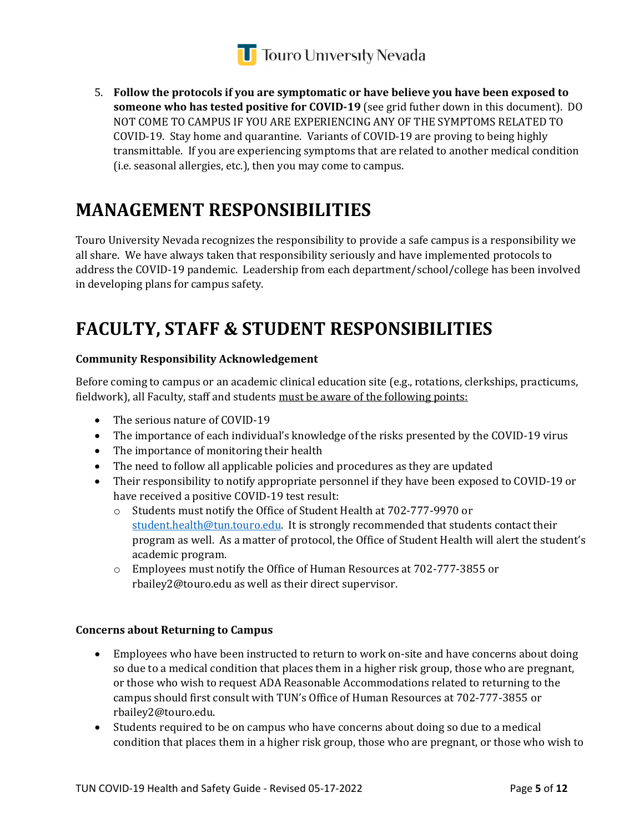

5. **Follow the protocols if you are symptomatic or have believe you have been exposed to someone who has tested positive for COVID-19** (see grid futher down in this document). DO NOT COME TO CAMPUS IF YOU ARE EXPERIENCING ANY OF THE SYMPTOMS RELATED TO COVID-19. Stay home and quarantine. Variants of COVID-19 are proving to being highly transmittable. If you are experiencing symptoms that are related to another medical condition (i.e. seasonal allergies, etc.), then you may come to campus.

### **MANAGEMENT RESPONSIBILITIES**

Touro University Nevada recognizes the responsibility to provide a safe campus is a responsibility we all share. We have always taken that responsibility seriously and have implemented protocols to address the COVID-19 pandemic. Leadership from each department/school/college has been involved in developing plans for campus safety.

### **FACULTY, STAFF & STUDENT RESPONSIBILITIES**

#### **Community Responsibility Acknowledgement**

Before coming to campus or an academic clinical education site (e.g., rotations, clerkships, practicums, fieldwork), all Faculty, staff and students must be aware of the following points:

- The serious nature of COVID-19
- The importance of each individual's knowledge of the risks presented by the COVID-19 virus
- The importance of monitoring their health
- The need to follow all applicable policies and procedures as they are updated
- Their responsibility to notify appropriate personnel if they have been exposed to COVID-19 or have received a positive COVID-19 test result:
	- o Students must notify the Office of Student Health at 702-777-9970 or [student.health@tun.touro.edu.](mailto:student.health@tun.touro.edu) It is strongly recommended that students contact their program as well. As a matter of protocol, the Office of Student Health will alert the student's academic program.
	- o Employees must notify the Office of Human Resources at 702-777-3855 or rbailey2@touro.edu as well as their direct supervisor.

#### **Concerns about Returning to Campus**

- Employees who have been instructed to return to work on-site and have concerns about doing so due to a medical condition that places them in a higher risk group, those who are pregnant, or those who wish to request ADA Reasonable Accommodations related to returning to the campus should first consult with TUN's Office of Human Resources at 702-777-3855 or rbailey2@touro.edu.
- Students required to be on campus who have concerns about doing so due to a medical condition that places them in a higher risk group, those who are pregnant, or those who wish to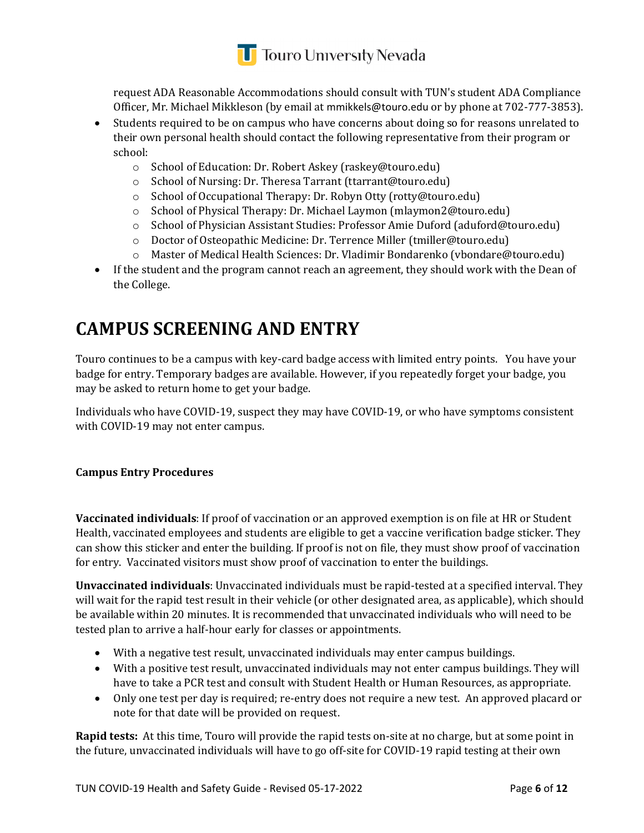

request ADA Reasonable Accommodations should consult with TUN's student ADA Compliance Officer, Mr. Michael Mikkleson (by email at mmikkels@touro.edu or by phone at 702-777-3853).

- Students required to be on campus who have concerns about doing so for reasons unrelated to their own personal health should contact the following representative from their program or school:
	- o School of Education: Dr. Robert Askey (raskey@touro.edu)
	- o School of Nursing: Dr. Theresa Tarrant (ttarrant@touro.edu)
	- o School of Occupational Therapy: Dr. Robyn Otty (rotty@touro.edu)
	- o School of Physical Therapy: Dr. Michael Laymon (mlaymon2@touro.edu)
	- o School of Physician Assistant Studies: Professor Amie Duford (aduford@touro.edu)
	- o Doctor of Osteopathic Medicine: Dr. Terrence Miller (tmiller@touro.edu)
	- o Master of Medical Health Sciences: Dr. Vladimir Bondarenko (vbondare@touro.edu)
- If the student and the program cannot reach an agreement, they should work with the Dean of the College.

### **CAMPUS SCREENING AND ENTRY**

Touro continues to be a campus with key-card badge access with limited entry points. You have your badge for entry. Temporary badges are available. However, if you repeatedly forget your badge, you may be asked to return home to get your badge.

Individuals who have COVID-19, suspect they may have COVID-19, or who have symptoms consistent with COVID-19 may not enter campus.

#### **Campus Entry Procedures**

**Vaccinated individuals**: If proof of vaccination or an approved exemption is on file at HR or Student Health, vaccinated employees and students are eligible to get a vaccine verification badge sticker. They can show this sticker and enter the building. If proof is not on file, they must show proof of vaccination for entry. Vaccinated visitors must show proof of vaccination to enter the buildings.

**Unvaccinated individuals**: Unvaccinated individuals must be rapid-tested at a specified interval. They will wait for the rapid test result in their vehicle (or other designated area, as applicable), which should be available within 20 minutes. It is recommended that unvaccinated individuals who will need to be tested plan to arrive a half-hour early for classes or appointments.

- With a negative test result, unvaccinated individuals may enter campus buildings.
- With a positive test result, unvaccinated individuals may not enter campus buildings. They will have to take a PCR test and consult with Student Health or Human Resources, as appropriate.
- Only one test per day is required; re-entry does not require a new test. An approved placard or note for that date will be provided on request.

**Rapid tests:** At this time, Touro will provide the rapid tests on-site at no charge, but at some point in the future, unvaccinated individuals will have to go off-site for COVID-19 rapid testing at their own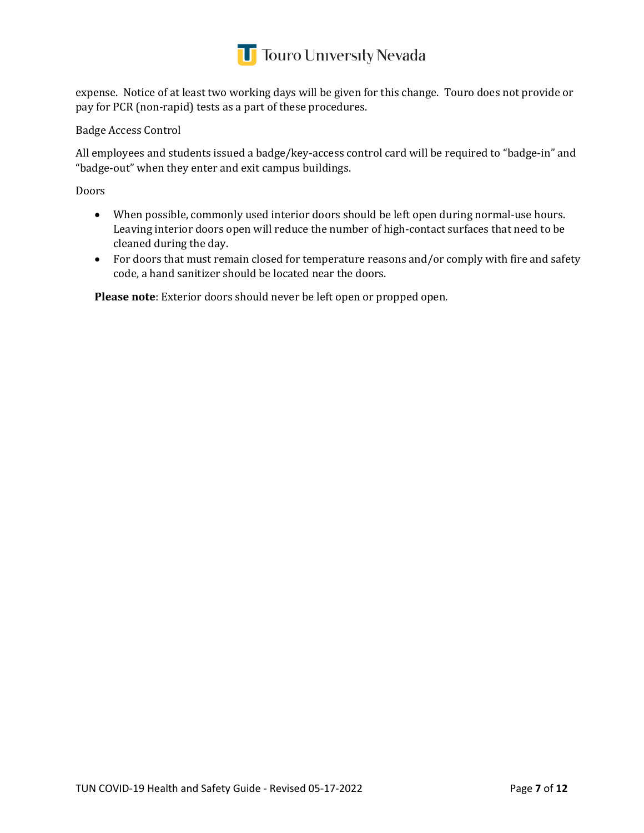

expense. Notice of at least two working days will be given for this change. Touro does not provide or pay for PCR (non-rapid) tests as a part of these procedures.

Badge Access Control

All employees and students issued a badge/key-access control card will be required to "badge-in" and "badge-out" when they enter and exit campus buildings.

Doors

- When possible, commonly used interior doors should be left open during normal-use hours. Leaving interior doors open will reduce the number of high-contact surfaces that need to be cleaned during the day.
- For doors that must remain closed for temperature reasons and/or comply with fire and safety code, a hand sanitizer should be located near the doors.

**Please note**: Exterior doors should never be left open or propped open.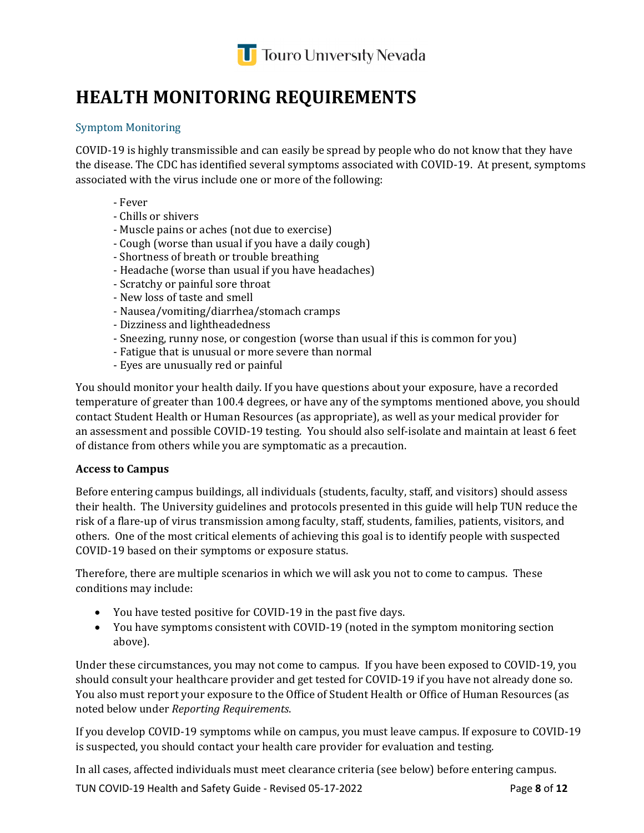

### **HEALTH MONITORING REQUIREMENTS**

#### Symptom Monitoring

COVID-19 is highly transmissible and can easily be spread by people who do not know that they have the disease. The CDC has identified several symptoms associated with COVID-19. At present, symptoms associated with the virus include one or more of the following:

- Fever
- Chills or shivers
- Muscle pains or aches (not due to exercise)
- Cough (worse than usual if you have a daily cough)
- Shortness of breath or trouble breathing
- Headache (worse than usual if you have headaches)
- Scratchy or painful sore throat
- New loss of taste and smell
- Nausea/vomiting/diarrhea/stomach cramps
- Dizziness and lightheadedness
- Sneezing, runny nose, or congestion (worse than usual if this is common for you)
- Fatigue that is unusual or more severe than normal
- Eyes are unusually red or painful

You should monitor your health daily. If you have questions about your exposure, have a recorded temperature of greater than 100.4 degrees, or have any of the symptoms mentioned above, you should contact Student Health or Human Resources (as appropriate), as well as your medical provider for an assessment and possible COVID-19 testing. You should also self-isolate and maintain at least 6 feet of distance from others while you are symptomatic as a precaution.

#### **Access to Campus**

Before entering campus buildings, all individuals (students, faculty, staff, and visitors) should assess their health. The University guidelines and protocols presented in this guide will help TUN reduce the risk of a flare-up of virus transmission among faculty, staff, students, families, patients, visitors, and others. One of the most critical elements of achieving this goal is to identify people with suspected COVID-19 based on their symptoms or exposure status.

Therefore, there are multiple scenarios in which we will ask you not to come to campus. These conditions may include:

- You have tested positive for COVID-19 in the past five days.
- You have symptoms consistent with COVID-19 (noted in the symptom monitoring section above).

Under these circumstances, you may not come to campus. If you have been exposed to COVID-19, you should consult your healthcare provider and get tested for COVID-19 if you have not already done so. You also must report your exposure to the Office of Student Health or Office of Human Resources (as noted below under *Reporting Requirements*.

If you develop COVID-19 symptoms while on campus, you must leave campus. If exposure to COVID-19 is suspected, you should contact your health care provider for evaluation and testing.

TUN COVID-19 Health and Safety Guide - Revised 05-17-2022 Page **8** of **12** In all cases, affected individuals must meet clearance criteria (see below) before entering campus.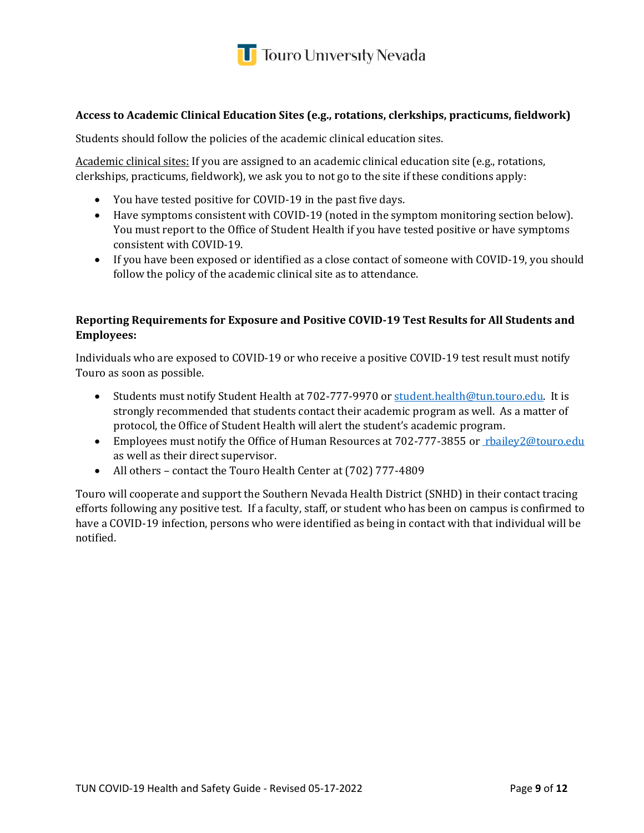

#### **Access to Academic Clinical Education Sites (e.g., rotations, clerkships, practicums, fieldwork)**

Students should follow the policies of the academic clinical education sites.

Academic clinical sites: If you are assigned to an academic clinical education site (e.g., rotations, clerkships, practicums, fieldwork), we ask you to not go to the site if these conditions apply:

- You have tested positive for COVID-19 in the past five days.
- Have symptoms consistent with COVID-19 (noted in the symptom monitoring section below). You must report to the Office of Student Health if you have tested positive or have symptoms consistent with COVID-19.
- If you have been exposed or identified as a close contact of someone with COVID-19, you should follow the policy of the academic clinical site as to attendance.

#### **Reporting Requirements for Exposure and Positive COVID-19 Test Results for All Students and Employees:**

Individuals who are exposed to COVID-19 or who receive a positive COVID-19 test result must notify Touro as soon as possible.

- Students must notify Student Health at 702-777-9970 or [student.health@tun.touro.edu.](mailto:student.health@tun.touro.edu) It is strongly recommended that students contact their academic program as well. As a matter of protocol, the Office of Student Health will alert the student's academic program.
- Employees must notify the Office of Human Resources at 702-777-3855 or rhailey2@touro.edu as well as their direct supervisor.
- All others contact the Touro Health Center at [\(702\) 777-4809](tel:(702)%20777-4809)

Touro will cooperate and support the Southern Nevada Health District (SNHD) in their contact tracing efforts following any positive test. If a faculty, staff, or student who has been on campus is confirmed to have a COVID-19 infection, persons who were identified as being in contact with that individual will be notified.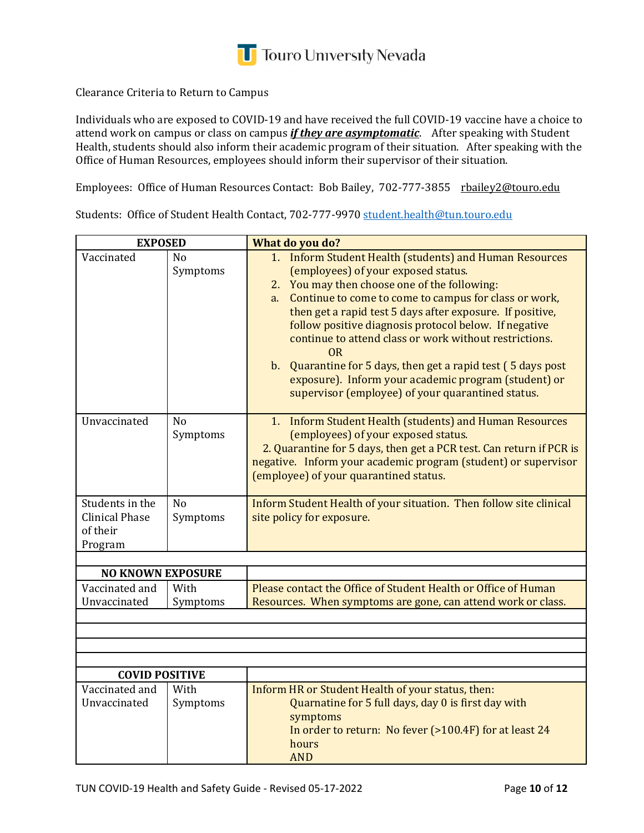

Clearance Criteria to Return to Campus

Individuals who are exposed to COVID-19 and have received the full COVID-19 vaccine have a choice to attend work on campus or class on campus *if they are asymptomatic*. After speaking with Student Health, students should also inform their academic program of their situation. After speaking with the Office of Human Resources, employees should inform their supervisor of their situation.

Employees: Office of Human Resources Contact: Bob Bailey, 702-777-3855 <u>[rbailey2@touro.edu](mailto:rbailey2@touro.edu)</u>

Students: Office of Student Health Contact, 702-777-9970 <u>[student.health@tun.touro.edu](mailto:student.health@tun.touro.edu)</u>

| <b>EXPOSED</b>           |                | What do you do?                                                                                                                       |  |  |
|--------------------------|----------------|---------------------------------------------------------------------------------------------------------------------------------------|--|--|
| Vaccinated               | N <sub>0</sub> | 1. Inform Student Health (students) and Human Resources                                                                               |  |  |
|                          | Symptoms       | (employees) of your exposed status.                                                                                                   |  |  |
|                          |                | 2. You may then choose one of the following:                                                                                          |  |  |
|                          |                | a. Continue to come to come to campus for class or work,                                                                              |  |  |
|                          |                | then get a rapid test 5 days after exposure. If positive,                                                                             |  |  |
|                          |                | follow positive diagnosis protocol below. If negative                                                                                 |  |  |
|                          |                | continue to attend class or work without restrictions.<br>0 <sub>R</sub>                                                              |  |  |
|                          |                | b. Quarantine for 5 days, then get a rapid test (5 days post                                                                          |  |  |
|                          |                | exposure). Inform your academic program (student) or                                                                                  |  |  |
|                          |                | supervisor (employee) of your quarantined status.                                                                                     |  |  |
| Unvaccinated             | No             | 1. Inform Student Health (students) and Human Resources                                                                               |  |  |
|                          | Symptoms       | (employees) of your exposed status.                                                                                                   |  |  |
|                          |                | 2. Quarantine for 5 days, then get a PCR test. Can return if PCR is<br>negative. Inform your academic program (student) or supervisor |  |  |
|                          |                | (employee) of your quarantined status.                                                                                                |  |  |
|                          |                |                                                                                                                                       |  |  |
| Students in the          | N <sub>o</sub> | Inform Student Health of your situation. Then follow site clinical                                                                    |  |  |
| <b>Clinical Phase</b>    | Symptoms       | site policy for exposure.                                                                                                             |  |  |
| of their                 |                |                                                                                                                                       |  |  |
| Program                  |                |                                                                                                                                       |  |  |
| <b>NO KNOWN EXPOSURE</b> |                |                                                                                                                                       |  |  |
| Vaccinated and           | With           | Please contact the Office of Student Health or Office of Human                                                                        |  |  |
| Unvaccinated             | Symptoms       | Resources. When symptoms are gone, can attend work or class.                                                                          |  |  |
|                          |                |                                                                                                                                       |  |  |
|                          |                |                                                                                                                                       |  |  |
|                          |                |                                                                                                                                       |  |  |
|                          |                |                                                                                                                                       |  |  |
| <b>COVID POSITIVE</b>    |                |                                                                                                                                       |  |  |
| Vaccinated and           | With           | Inform HR or Student Health of your status, then:                                                                                     |  |  |
| Unvaccinated             | Symptoms       | Quarnatine for 5 full days, day 0 is first day with<br>symptoms                                                                       |  |  |
|                          |                | In order to return: No fever (>100.4F) for at least 24                                                                                |  |  |
|                          |                | hours                                                                                                                                 |  |  |
|                          |                | <b>AND</b>                                                                                                                            |  |  |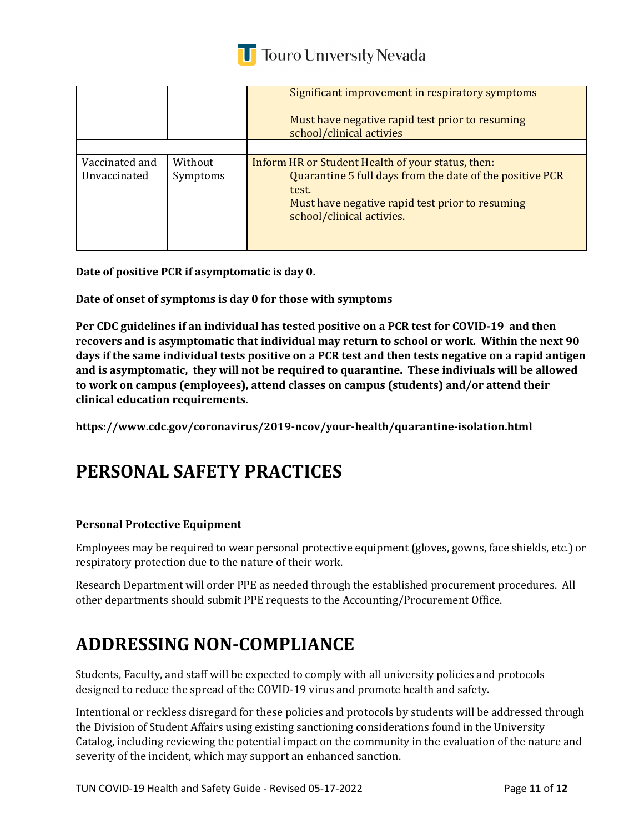

|                                |                     | Significant improvement in respiratory symptoms<br>Must have negative rapid test prior to resuming<br>school/clinical activies                                                                         |
|--------------------------------|---------------------|--------------------------------------------------------------------------------------------------------------------------------------------------------------------------------------------------------|
|                                |                     |                                                                                                                                                                                                        |
| Vaccinated and<br>Unvaccinated | Without<br>Symptoms | Inform HR or Student Health of your status, then:<br>Quarantine 5 full days from the date of the positive PCR<br>test.<br>Must have negative rapid test prior to resuming<br>school/clinical activies. |

**Date of positive PCR if asymptomatic is day 0.** 

**Date of onset of symptoms is day 0 for those with symptoms**

**Per CDC guidelines if an individual has tested positive on a PCR test for COVID-19 and then recovers and is asymptomatic that individual may return to school or work. Within the next 90 days if the same individual tests positive on a PCR test and then tests negative on a rapid antigen and is asymptomatic, they will not be required to quarantine. These indiviuals will be allowed to work on campus (employees), attend classes on campus (students) and/or attend their clinical education requirements.**

**https://www.cdc.gov/coronavirus/2019-ncov/your-health/quarantine-isolation.html**

#### **PERSONAL SAFETY PRACTICES**

#### **Personal Protective Equipment**

Employees may be required to wear personal protective equipment (gloves, gowns, face shields, etc.) or respiratory protection due to the nature of their work.

Research Department will order PPE as needed through the established procurement procedures. All other departments should submit PPE requests to the Accounting/Procurement Office.

#### **ADDRESSING NON-COMPLIANCE**

Students, Faculty, and staff will be expected to comply with all university policies and protocols designed to reduce the spread of the COVID-19 virus and promote health and safety.

Intentional or reckless disregard for these policies and protocols by students will be addressed through the Division of Student Affairs using existing sanctioning considerations found in the University Catalog, including reviewing the potential impact on the community in the evaluation of the nature and severity of the incident, which may support an enhanced sanction.